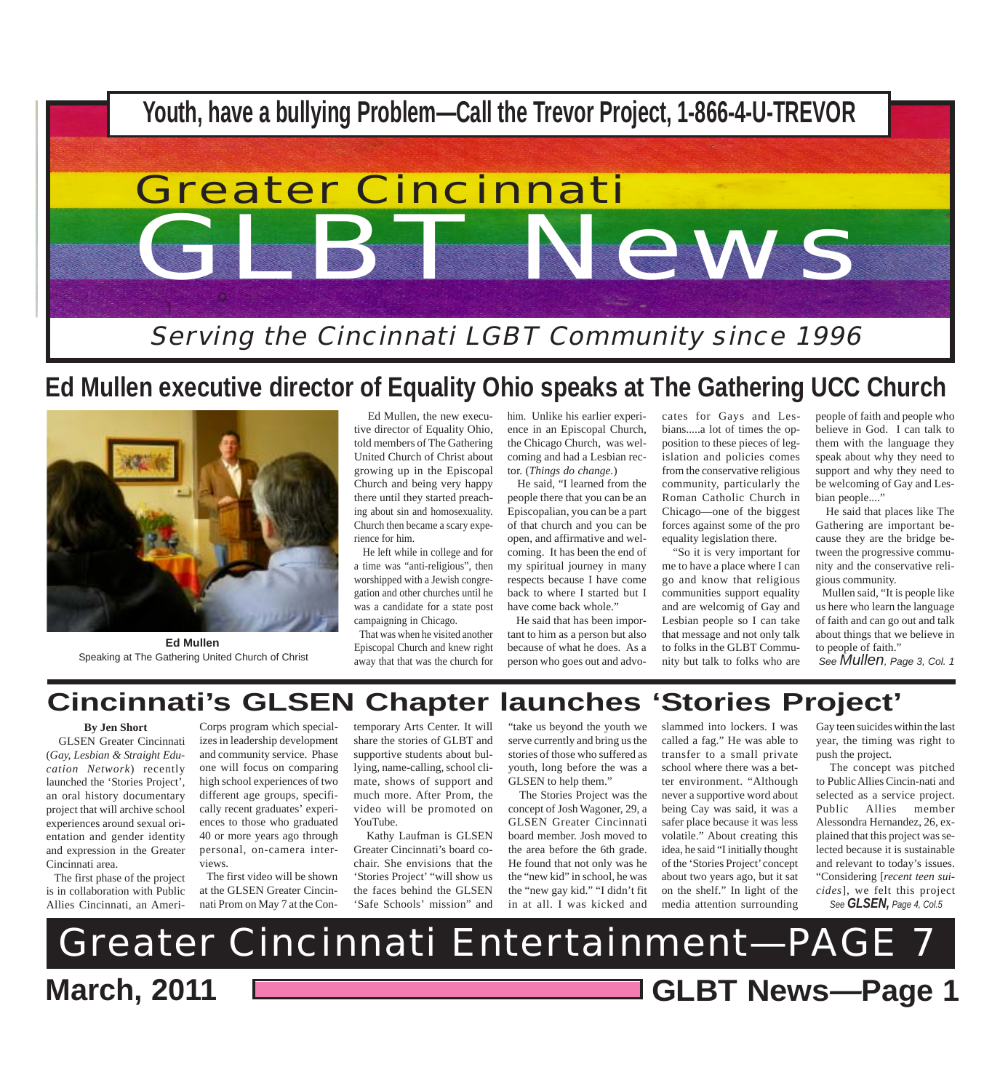

# **Ed Mullen executive director of Equality Ohio speaks at The Gathering UCC Church**



**Ed Mullen** Speaking at The Gathering United Church of Christ

 Ed Mullen, the new executive director of Equality Ohio, told members of The Gathering United Church of Christ about growing up in the Episcopal Church and being very happy there until they started preaching about sin and homosexuality. Church then became a scary experience for him.

 He left while in college and for a time was "anti-religious", then worshipped with a Jewish congregation and other churches until he was a candidate for a state post campaigning in Chicago.

 That was when he visited another Episcopal Church and knew right away that that was the church for him. Unlike his earlier experience in an Episcopal Church, the Chicago Church, was welcoming and had a Lesbian rector. (*Things do change.*)

 He said, "I learned from the people there that you can be an Episcopalian, you can be a part of that church and you can be open, and affirmative and welcoming. It has been the end of my spiritual journey in many respects because I have come back to where I started but I have come back whole."

 He said that has been important to him as a person but also because of what he does. As a person who goes out and advocates for Gays and Lesbians.....a lot of times the opposition to these pieces of legislation and policies comes from the conservative religious community, particularly the Roman Catholic Church in Chicago—one of the biggest forces against some of the pro equality legislation there.

 "So it is very important for me to have a place where I can go and know that religious communities support equality and are welcomig of Gay and Lesbian people so I can take that message and not only talk to folks in the GLBT Community but talk to folks who are

people of faith and people who believe in God. I can talk to them with the language they speak about why they need to support and why they need to be welcoming of Gay and Lesbian people...."

 He said that places like The Gathering are important because they are the bridge between the progressive community and the conservative religious community.

 Mullen said, "It is people like us here who learn the language of faith and can go out and talk about things that we believe in to people of faith."<br>See **Mullen**, Page 3, Col. 1

# **Cincinnati's GLSEN Chapter launches 'Stories Project'**

**By Jen Short**

 GLSEN Greater Cincinnati (*Gay, Lesbian & Straight Education Network*) recently launched the 'Stories Project', an oral history documentary project that will archive school experiences around sexual orientation and gender identity and expression in the Greater Cincinnati area.

 The first phase of the project is in collaboration with Public Allies Cincinnati, an Ameri-

Corps program which specializes in leadership development and community service. Phase one will focus on comparing high school experiences of two different age groups, specifically recent graduates' experiences to those who graduated 40 or more years ago through personal, on-camera interviews.

 The first video will be shown at the GLSEN Greater Cincinnati Prom on May 7 at the Contemporary Arts Center. It will share the stories of GLBT and supportive students about bullying, name-calling, school climate, shows of support and much more. After Prom, the video will be promoted on YouTube.

 Kathy Laufman is GLSEN Greater Cincinnati's board cochair. She envisions that the 'Stories Project' "will show us the faces behind the GLSEN 'Safe Schools' mission" and

"take us beyond the youth we serve currently and bring us the stories of those who suffered as youth, long before the was a GLSEN to help them."

 The Stories Project was the concept of Josh Wagoner, 29, a GLSEN Greater Cincinnati board member. Josh moved to the area before the 6th grade. He found that not only was he the "new kid" in school, he was the "new gay kid." "I didn't fit in at all. I was kicked and

slammed into lockers. I was called a fag." He was able to transfer to a small private school where there was a better environment. "Although never a supportive word about being Cay was said, it was a safer place because it was less volatile." About creating this idea, he said "I initially thought of the 'Stories Project' concept about two years ago, but it sat on the shelf." In light of the media attention surrounding

Gay teen suicides within the last year, the timing was right to push the project.

*See GLSEN, Page 4, Col.5* The concept was pitched to Public Allies Cincin-nati and selected as a service project. Public Allies member Alessondra Hernandez, 26, explained that this project was selected because it is sustainable and relevant to today's issues. "Considering [*recent teen suicides*], we felt this project

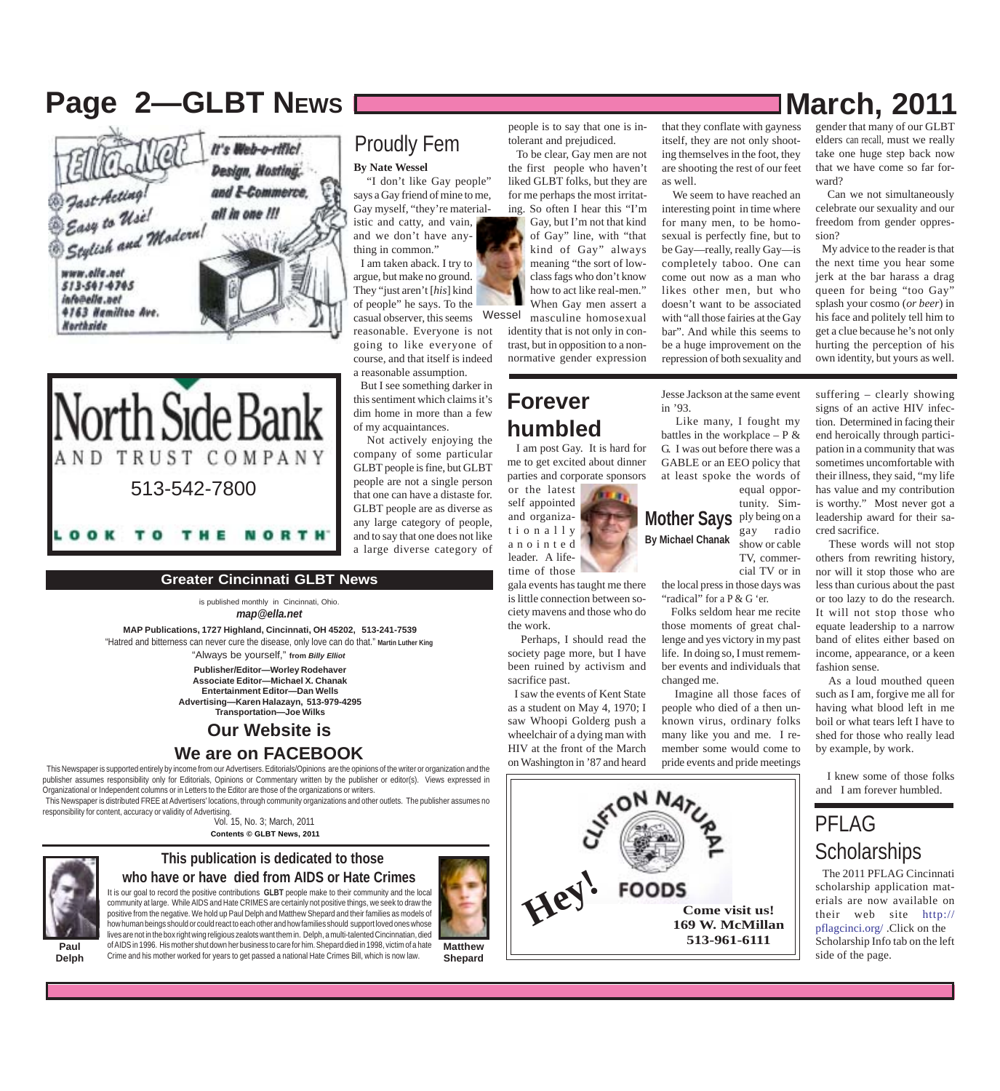# **Page 2—GLBT NEWS**  $\blacksquare$  **March, 2011**





#### **Greater Cincinnati GLBT News**

is published monthly in Cincinnati, Ohio. *map@ella.net*

**MAP Publications, 1727 Highland, Cincinnati, OH 45202, 513-241-7539** "Always be yourself," **from** *Billy Elliot* "Hatred and bitterness can never cure the disease, only love can do that." **Martin Luther King**

> **Publisher/Editor—Worley Rodehaver Associate Editor—Michael X. Chanak Entertainment Editor—Dan Wells Advertising—Karen Halazayn, 513-979-4295 Transportation—Joe Wilks**

#### **Our Website is**

#### **We are on FACEBOOK**

 This Newspaper is supported entirely by income from our Advertisers. Editorials/Opinions are the opinions of the writer or organization and the publisher assumes responsibility only for Editorials, Opinions or Commentary written by the publisher or editor(s). Views expressed in Organizational or Independent columns or in Letters to the Editor are those of the organizations or writers.

 This Newspaper is distributed FREE at Advertisers' locations, through community organizations and other outlets. The publisher assumes no responsibility for content, accuracy or validity of Advertising.

Vol. 15, No. 3; March, 2011 **Contents © GLBT News, 2011**



#### **This publication is dedicated to those**

Crime and his mother worked for years to get passed a national Hate Crimes Bill, which is now law.

It is our goal to record the positive contributions **GLBT** people make to their community and the local community at large. While AIDS and Hate CRIMES are certainly not positive things, we seek to draw the positive from the negative. We hold up Paul Delph and Matthew Shepard and their families as models of how human beings should or could react to each other and how families should support loved ones whose **who have or have died from AIDS or Hate Crimes**



**Shepard**

#### people is to say that one is intolerant and prejudiced. To be clear, Gay men are not

**By Nate Wessel**

Proudly Fem

 "I don't like Gay people" says a Gay friend of mine to me, Gay myself, "they're material-

istic and catty, and vain, and we don't have anything in common." I am taken aback. I try to argue, but make no ground. They "just aren't [*his*] kind of people" he says. To the

reasonable. Everyone is not going to like everyone of course, and that itself is indeed

But I see something darker in

Not actively enjoying the

the first people who haven't liked GLBT folks, but they are for me perhaps the most irritating. So often I hear this "I'm casual observer, this seems Wessel Gay, but I'm not that kind of Gay" line, with "that kind of Gay" always meaning "the sort of lowclass fags who don't know how to act like real-men." When Gay men assert a masculine homosexual

identity that is not only in contrast, but in opposition to a nonnormative gender expression

#### **Forever humbled**

 I am post Gay. It is hard for me to get excited about dinner parties and corporate sponsors

or the latest self appointed and organizationally anointed leader. A lifetime of those

gala events has taught me there is little connection between society mavens and those who do the work.

Perhaps, I should read the

 I saw the events of Kent State as a student on May 4, 1970; I saw Whoopi Golderg push a wheelchair of a dying man with HIV at the front of the March on Washington in '87 and heard



that they conflate with gayness itself, they are not only shooting themselves in the foot, they are shooting the rest of our feet as well.

 We seem to have reached an interesting point in time where for many men, to be homosexual is perfectly fine, but to be Gay—really, really Gay—is completely taboo. One can come out now as a man who likes other men, but who doesn't want to be associated with "all those fairies at the Gay bar". And while this seems to be a huge improvement on the repression of both sexuality and

gender that many of our GLBT

elders can recall, must we really take one huge step back now that we have come so far forward?

 Can we not simultaneously celebrate our sexuality and our freedom from gender oppression?

 My advice to the reader is that the next time you hear some jerk at the bar harass a drag queen for being "too Gay" splash your cosmo (*or beer*) in his face and politely tell him to get a clue because he's not only hurting the perception of his own identity, but yours as well.

end heroically through participation in a community that was sometimes uncomfortable with their illness, they said, "my life has value and my contribution is worthy." Most never got a leadership award for their sa-

 These words will not stop others from rewriting history, nor will it stop those who are less than curious about the past or too lazy to do the research.

Jesse Jackson at the same event in '93. suffering – clearly showing signs of an active HIV infection. Determined in facing their

 Like many, I fought my battles in the workplace  $- P \&$ G. I was out before there was a GABLE or an EEO policy that at least spoke the words of equal oppor-

#### **Mother Says** ply being on a **By Michael Chanak** tunity. Simgay radio show or cable TV, commer-

the local press in those days was "radical" for a P & G 'er.

cial TV or in

 Folks seldom hear me recite those moments of great challenge and yes victory in my past life. In doing so, I must remember events and individuals that changed me.

 Imagine all those faces of people who died of a then unknown virus, ordinary folks many like you and me. I remember some would come to pride events and pride meetings

It will not stop those who equate leadership to a narrow band of elites either based on income, appearance, or a keen fashion sense. As a loud mouthed queen

cred sacrifice.

such as I am, forgive me all for having what blood left in me boil or what tears left I have to shed for those who really lead by example, by work.

 I knew some of those folks and I am forever humbled.

#### PFLAG **Scholarships**

 The 2011 PFLAG Cincinnati scholarship application materials are now available on their web site http:// pflagcinci.org/ .Click on the Scholarship Info tab on the left side of the page.

**Paul Delph**





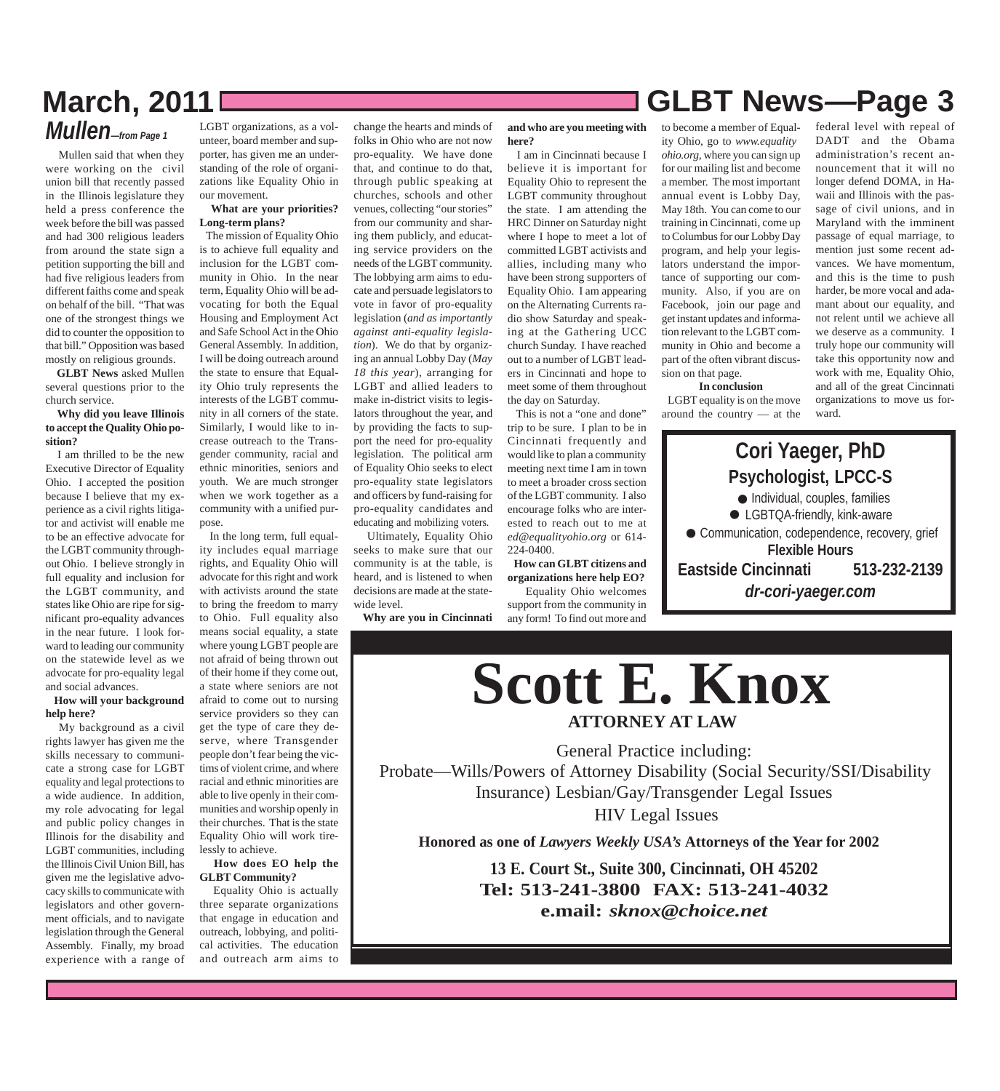## **March, 2011 GLBT News***—***Page 3** *Mullen—from Page 1*

 Mullen said that when they were working on the civil union bill that recently passed in the Illinois legislature they held a press conference the week before the bill was passed and had 300 religious leaders from around the state sign a petition supporting the bill and had five religious leaders from different faiths come and speak on behalf of the bill. "That was one of the strongest things we did to counter the opposition to that bill." Opposition was based mostly on religious grounds.

 **GLBT News** asked Mullen several questions prior to the church service.

#### **Why did you leave Illinois to accept the Quality Ohio position?**

 I am thrilled to be the new Executive Director of Equality Ohio. I accepted the position because I believe that my experience as a civil rights litigator and activist will enable me to be an effective advocate for the LGBT community throughout Ohio. I believe strongly in full equality and inclusion for the LGBT community, and states like Ohio are ripe for significant pro-equality advances in the near future. I look forward to leading our community on the statewide level as we advocate for pro-equality legal and social advances.

#### **How will your background help here?**

 My background as a civil rights lawyer has given me the skills necessary to communicate a strong case for LGBT equality and legal protections to a wide audience. In addition, my role advocating for legal and public policy changes in Illinois for the disability and LGBT communities, including the Illinois Civil Union Bill, has given me the legislative advocacy skills to communicate with legislators and other government officials, and to navigate legislation through the General Assembly. Finally, my broad experience with a range of

LGBT organizations, as a volunteer, board member and supporter, has given me an understanding of the role of organizations like Equality Ohio in our movement.

#### **What are your priorities? Long-term plans?**

 The mission of Equality Ohio is to achieve full equality and inclusion for the LGBT community in Ohio. In the near term, Equality Ohio will be advocating for both the Equal Housing and Employment Act and Safe School Act in the Ohio General Assembly. In addition, I will be doing outreach around the state to ensure that Equality Ohio truly represents the interests of the LGBT community in all corners of the state. Similarly, I would like to increase outreach to the Transgender community, racial and ethnic minorities, seniors and youth. We are much stronger when we work together as a community with a unified purpose.

 In the long term, full equality includes equal marriage rights, and Equality Ohio will advocate for this right and work with activists around the state to bring the freedom to marry to Ohio. Full equality also means social equality, a state where young LGBT people are not afraid of being thrown out of their home if they come out, a state where seniors are not afraid to come out to nursing service providers so they can get the type of care they deserve, where Transgender people don't fear being the victims of violent crime, and where racial and ethnic minorities are able to live openly in their communities and worship openly in their churches. That is the state Equality Ohio will work tirelessly to achieve.

#### **How does EO help the GLBT Community?**

 Equality Ohio is actually three separate organizations that engage in education and outreach, lobbying, and political activities. The education and outreach arm aims to

change the hearts and minds of folks in Ohio who are not now pro-equality. We have done that, and continue to do that, through public speaking at churches, schools and other venues, collecting "our stories" from our community and sharing them publicly, and educating service providers on the needs of the LGBT community. The lobbying arm aims to educate and persuade legislators to vote in favor of pro-equality legislation (*and as importantly against anti-equality legislation*). We do that by organizing an annual Lobby Day (*May 18 this year*), arranging for LGBT and allied leaders to make in-district visits to legislators throughout the year, and by providing the facts to support the need for pro-equality legislation. The political arm of Equality Ohio seeks to elect pro-equality state legislators and officers by fund-raising for pro-equality candidates and educating and mobilizing voters.

 Ultimately, Equality Ohio seeks to make sure that our community is at the table, is heard, and is listened to when decisions are made at the statewide level.

**Why are you in Cincinnati**

**and who are you meeting with here?**

 I am in Cincinnati because I believe it is important for Equality Ohio to represent the LGBT community throughout the state. I am attending the HRC Dinner on Saturday night where I hope to meet a lot of committed LGBT activists and allies, including many who have been strong supporters of Equality Ohio. I am appearing on the Alternating Currents radio show Saturday and speaking at the Gathering UCC church Sunday. I have reached out to a number of LGBT leaders in Cincinnati and hope to meet some of them throughout the day on Saturday.

 This is not a "one and done" trip to be sure. I plan to be in Cincinnati frequently and would like to plan a community meeting next time I am in town to meet a broader cross section of the LGBT community. I also encourage folks who are interested to reach out to me at *ed@equalityohio.org* or 614- 224-0400.

 **How can GLBT citizens and organizations here help EO?** Equality Ohio welcomes support from the community in

any form! To find out more and

ity Ohio, go to *www.equalityohio.org,* where you can sign up for our mailing list and become a member. The most important annual event is Lobby Day, May 18th. You can come to our training in Cincinnati, come up to Columbus for our Lobby Day program, and help your legislators understand the importance of supporting our community. Also, if you are on Facebook, join our page and get instant updates and information relevant to the LGBT community in Ohio and become a part of the often vibrant discussion on that page. **In conclusion**

 LGBT equality is on the move around the country — at the

federal level with repeal of DADT and the Obama administration's recent announcement that it will no longer defend DOMA, in Hawaii and Illinois with the passage of civil unions, and in Maryland with the imminent passage of equal marriage, to mention just some recent advances. We have momentum, and this is the time to push harder, be more vocal and adamant about our equality, and not relent until we achieve all we deserve as a community. I truly hope our community will take this opportunity now and work with me, Equality Ohio, and all of the great Cincinnati organizations to move us forward.





General Practice including: Probate—Wills/Powers of Attorney Disability (Social Security/SSI/Disability Insurance) Lesbian/Gay/Transgender Legal Issues HIV Legal Issues

**Honored as one of** *Lawyers Weekly USA's* **Attorneys of the Year for 2002**

**13 E. Court St., Suite 300, Cincinnati, OH 45202 Tel: 513-241-3800 FAX: 513-241-4032 e.mail:** *sknox@choice.net*

# to become a member of Equal-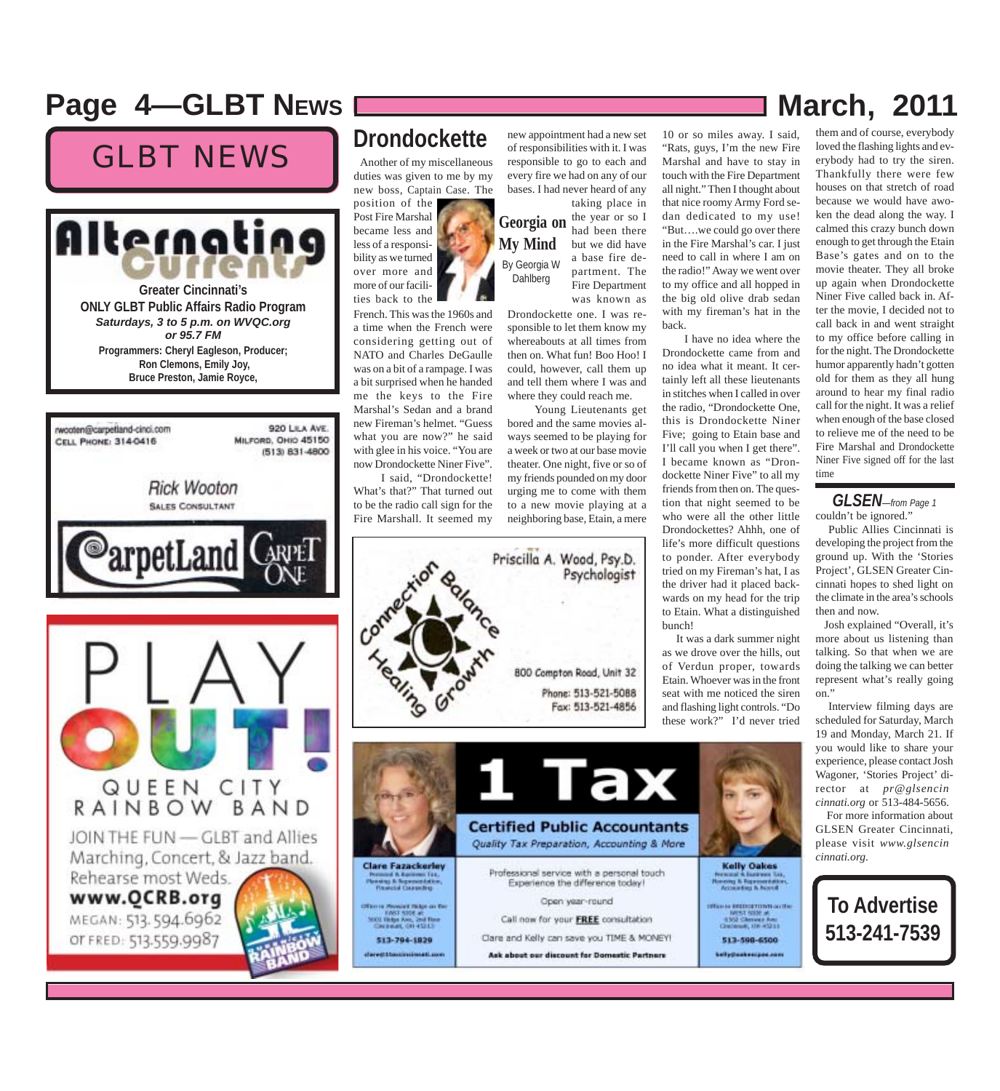## **Page 4––GLBT NEWS March, 2011 March, 2011**

# GLBT NEWS Another of my miscellaneous



rwooten@carpetland-cinci.com 920 LILA AVE. MILFORD, OHIO 45150 CELL PHONE: 314-0416 (513) 831-4800 **Rick Wooton SALES CONSULTANT** arpetLand QUEEN CITY<br>RAINBOW BAND JOIN THE FUN - GLBT and Allies Marching, Concert, & Jazz band. Rehearse most Weds. www.QCRB.org MEGAN: 513.594.6962 OT FRED: 513.559.9987

#### **Drondockette**

duties was given to me by my new boss, Captain Case. The

position of the Post Fire Marshal became less and less of a responsibility as we turned over more and more of our facilities back to the

French. This was the 1960s and a time when the French were considering getting out of NATO and Charles DeGaulle was on a bit of a rampage. I was a bit surprised when he handed me the keys to the Fire Marshal's Sedan and a brand new Fireman's helmet. "Guess what you are now?" he said with glee in his voice. "You are now Drondockette Niner Five".

 I said, "Drondockette! What's that?" That turned out to be the radio call sign for the Fire Marshall. It seemed my



new appointment had a new set of responsibilities with it. I was responsible to go to each and every fire we had on any of our bases. I had never heard of any

**Georgia on My Mind** By Georgia W Dahlberg taking place in the year or so I had been there but we did have a base fire department. The Fire Department was known as

Drondockette one. I was responsible to let them know my whereabouts at all times from then on. What fun! Boo Hoo! I could, however, call them up and tell them where I was and where they could reach me.

 Young Lieutenants get bored and the same movies always seemed to be playing for a week or two at our base movie theater. One night, five or so of my friends pounded on my door urging me to come with them to a new movie playing at a neighboring base, Etain, a mere

10 or so miles away. I said, "Rats, guys, I'm the new Fire Marshal and have to stay in touch with the Fire Department all night." Then I thought about that nice roomy Army Ford sedan dedicated to my use! "But….we could go over there in the Fire Marshal's car. I just need to call in where I am on the radio!" Away we went over to my office and all hopped in the big old olive drab sedan with my fireman's hat in the back.

 I have no idea where the Drondockette came from and no idea what it meant. It certainly left all these lieutenants in stitches when I called in over the radio, "Drondockette One, this is Drondockette Niner Five; going to Etain base and I'll call you when I get there". I became known as "Drondockette Niner Five" to all my friends from then on. The question that night seemed to be who were all the other little Drondockettes? Ahhh, one of life's more difficult questions to ponder. After everybody tried on my Fireman's hat, I as the driver had it placed backwards on my head for the trip to Etain. What a distinguished bunch!

 It was a dark summer night as we drove over the hills, out of Verdun proper, towards Etain. Whoever was in the front seat with me noticed the siren and flashing light controls. "Do these work?" I'd never tried



# them and of course, everybody

loved the flashing lights and everybody had to try the siren. Thankfully there were few houses on that stretch of road because we would have awoken the dead along the way. I calmed this crazy bunch down enough to get through the Etain Base's gates and on to the movie theater. They all broke up again when Drondockette Niner Five called back in. After the movie, I decided not to call back in and went straight to my office before calling in for the night. The Drondockette humor apparently hadn't gotten old for them as they all hung around to hear my final radio call for the night. It was a relief when enough of the base closed to relieve me of the need to be Fire Marshal and Drondockette Niner Five signed off for the last time

#### couldn't be ignored." *GLSEN—from Page 1*

 Public Allies Cincinnati is developing the project from the ground up. With the 'Stories Project', GLSEN Greater Cincinnati hopes to shed light on the climate in the area's schools then and now.

 Josh explained "Overall, it's more about us listening than talking. So that when we are doing the talking we can better represent what's really going on."

 Interview filming days are scheduled for Saturday, March 19 and Monday, March 21. If you would like to share your experience, please contact Josh Wagoner, 'Stories Project' director at *pr@glsencincinnati.org* or 513-484-5656.

 For more information about GLSEN Greater Cincinnati, please visit *www.glsencincinnati.org.*

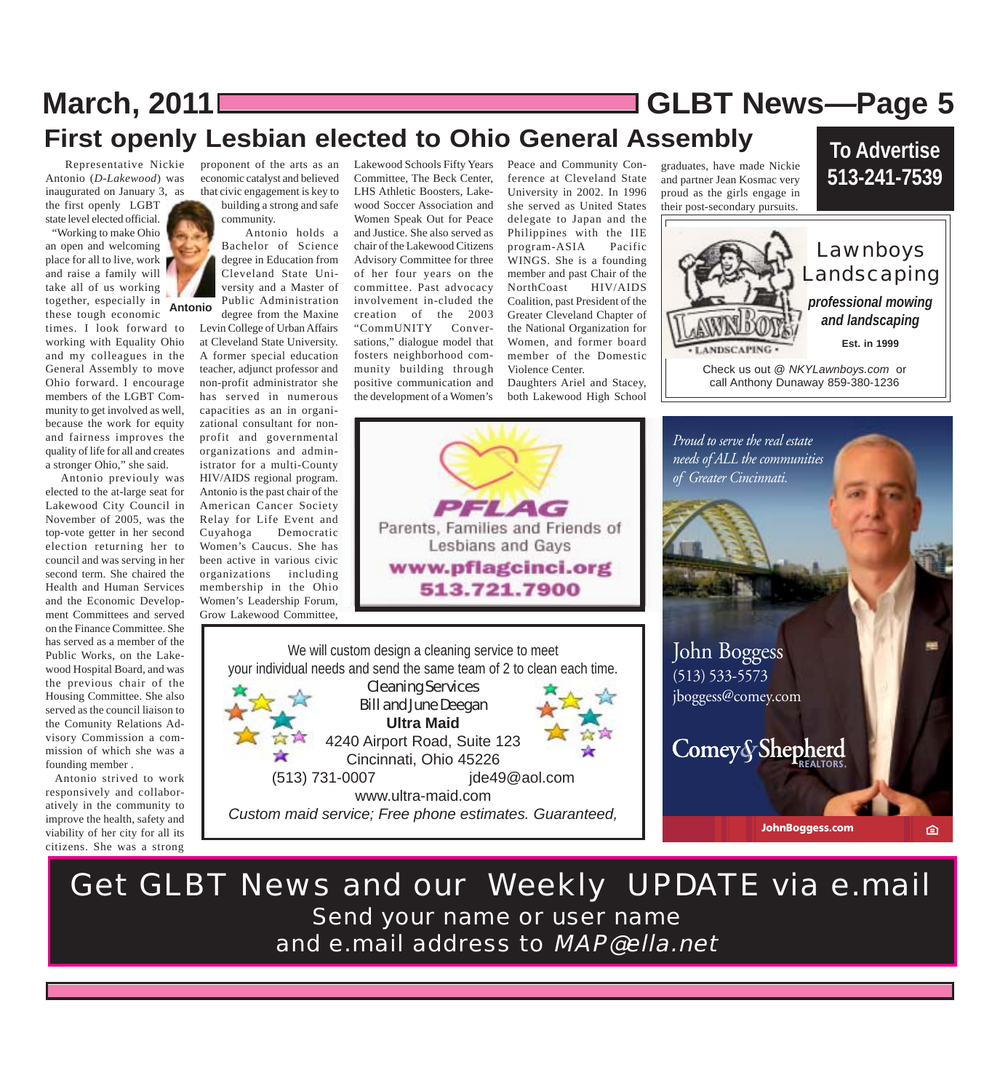# **March, 2011 GLBT News***—***Page 5 First openly Lesbian elected to Ohio General Assembly**

Antonio (*D-Lakewood*) was inaugurated on January 3, as the first openly LGBT state level elected official.

 "Working to make Ohio an open and welcoming place for all to live, work and raise a family will take all of us working together, especially in **Antonio** these tough economic

times. I look forward to working with Equality Ohio and my colleagues in the General Assembly to move Ohio forward. I encourage members of the LGBT Community to get involved as well, because the work for equity and fairness improves the quality of life for all and creates a stronger Ohio," she said.

 Antonio previouly was elected to the at-large seat for Lakewood City Council in November of 2005, was the top-vote getter in her second election returning her to council and was serving in her second term. She chaired the Health and Human Services and the Economic Development Committees and served on the Finance Committee. She has served as a member of the Public Works, on the Lakewood Hospital Board, and was the previous chair of the Housing Committee. She also served as the council liaison to the Comunity Relations Advisory Commission a commission of which she was a founding member .

 Antonio strived to work responsively and collaboratively in the community to improve the health, safety and viability of her city for all its citizens. She was a strong

economic catalyst and believed that civic engagement is key to building a strong and safe community.

 Antonio holds a Bachelor of Science degree in Education from Cleveland State University and a Master of Public Administration degree from the Maxine

Levin College of Urban Affairs at Cleveland State University. A former special education teacher, adjunct professor and non-profit administrator she has served in numerous capacities as an in organizational consultant for nonprofit and governmental organizations and administrator for a multi-County HIV/AIDS regional program. Antonio is the past chair of the American Cancer Society Relay for Life Event and Cuyahoga Democratic Women's Caucus. She has been active in various civic organizations including membership in the Ohio Women's Leadership Forum, Grow Lakewood Committee,

 Representative Nickie proponent of the arts as an Lakewood Schools Fifty Years Committee, The Beck Center, LHS Athletic Boosters, Lakewood Soccer Association and Women Speak Out for Peace and Justice. She also served as chair of the Lakewood Citizens Advisory Committee for three of her four years on the committee. Past advocacy involvement in-cluded the creation of the 2003 "CommUNITY Conversations," dialogue model that fosters neighborhood community building through positive communication and the development of a Women's

Peace and Community Conference at Cleveland State University in 2002. In 1996 she served as United States delegate to Japan and the Philippines with the IIE program-ASIA Pacific WINGS. She is a founding member and past Chair of the NorthCoast HIV/AIDS Coalition, past President of the Greater Cleveland Chapter of the National Organization for Women, and former board member of the Domestic Violence Center.

Daughters Ariel and Stacey, both Lakewood High School

**PFLAG** Parents, Families and Friends of Lesbians and Gays www.pflagcinci.org 513.721.7900

We will custom design a cleaning service to meet your individual needs and send the same team of 2 to clean each time. Cleaning Services Bill and June Deegan **Ultra Maid** 4240 Airport Road, Suite 123 Cincinnati, Ohio 45226

(513) 731-0007 jde49@aol.com www.ultra-maid.com *Custom maid service; Free phone estimates. Guaranteed,*



Get GLBT News and our Weekly UPDATE via e.mail Send your name or user name and e.mail address to MAP@ella.net

graduates, have made Nickie and partner Jean Kosmac very proud as the girls engage in

**To Advertise 513-241-7539**



Check us out @ *NKYLawnboys.com* or call Anthony Dunaway 859-380-1236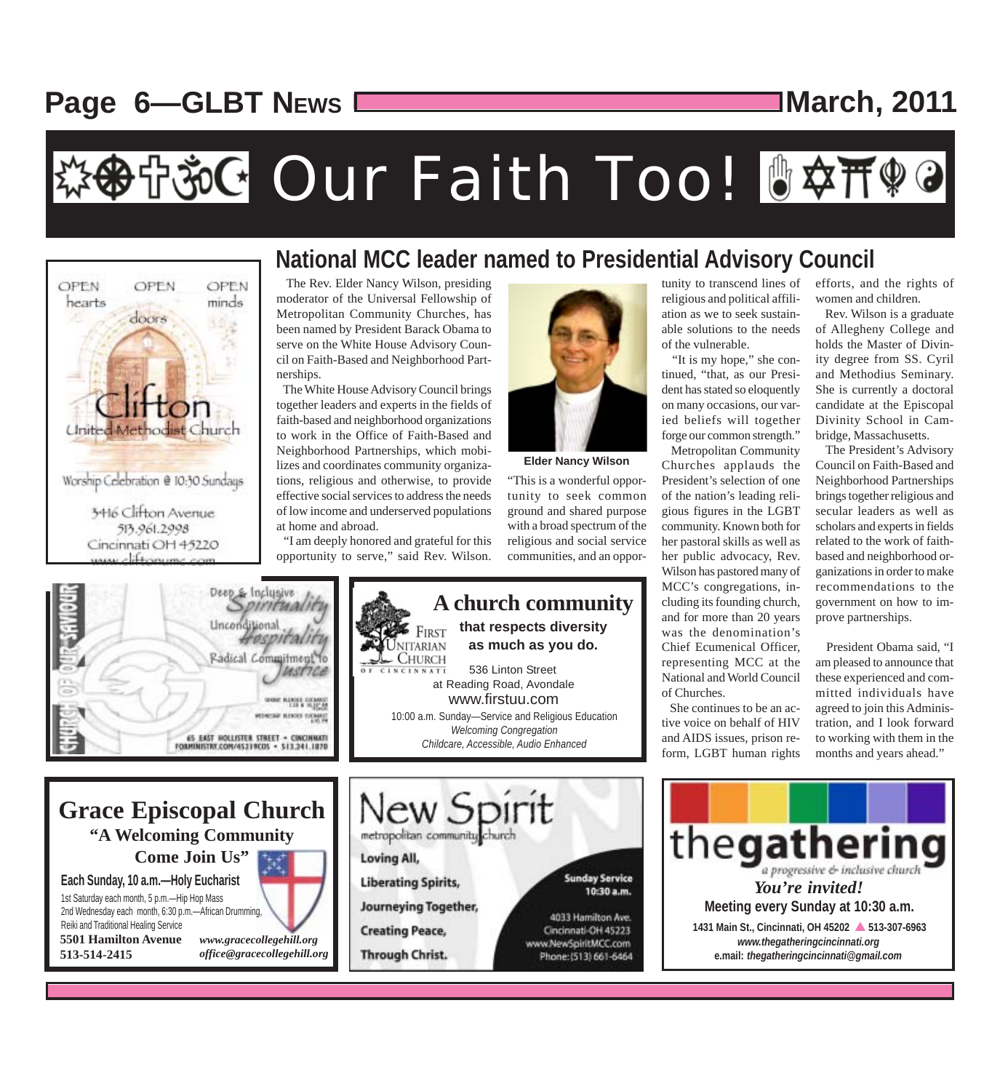# **Page 6––GLBT NEWS**  $\sqrt{1 + \frac{m}{n}}$  March, 2011

# \*※中治G Our Faith Too! 『卒开??



2nd Wednesday each month, 6:30 p.m.—African Drumming,

*www.gracecollegehill.org office@gracecollegehill.org*

Reiki and Traditional Healing Service **5501 Hamilton Avenue**

**513-514-2415**

#### **National MCC leader named to Presidential Advisory Council**

 The Rev. Elder Nancy Wilson, presiding moderator of the Universal Fellowship of Metropolitan Community Churches, has been named by President Barack Obama to serve on the White House Advisory Council on Faith-Based and Neighborhood Partnerships.

 The White House Advisory Council brings together leaders and experts in the fields of faith-based and neighborhood organizations to work in the Office of Faith-Based and Neighborhood Partnerships, which mobilizes and coordinates community organizations, religious and otherwise, to provide effective social services to address the needs of low income and underserved populations at home and abroad.

 "I am deeply honored and grateful for this opportunity to serve," said Rev. Wilson.

**Journeying Together,** 

**Creating Peace,** 

**Through Christ.** 



**Elder Nancy Wilson**

"This is a wonderful opportunity to seek common ground and shared purpose with a broad spectrum of the religious and social service communities, and an oppor-



4033 Hamilton Ave. Cincinnati-OH 45223 www.NewSpiritMCC.com Phone: (513) 661-6464 tunity to transcend lines of religious and political affiliation as we to seek sustainable solutions to the needs of the vulnerable.

 "It is my hope," she continued, "that, as our President has stated so eloquently on many occasions, our varied beliefs will together forge our common strength."

 Metropolitan Community Churches applauds the President's selection of one of the nation's leading religious figures in the LGBT community. Known both for her pastoral skills as well as her public advocacy, Rev. Wilson has pastored many of MCC's congregations, including its founding church, and for more than 20 years was the denomination's Chief Ecumenical Officer, representing MCC at the National and World Council of Churches.

 She continues to be an active voice on behalf of HIV and AIDS issues, prison reform, LGBT human rights

efforts, and the rights of women and children.

 Rev. Wilson is a graduate of Allegheny College and holds the Master of Divinity degree from SS. Cyril and Methodius Seminary. She is currently a doctoral candidate at the Episcopal Divinity School in Cambridge, Massachusetts.

 The President's Advisory Council on Faith-Based and Neighborhood Partnerships brings together religious and secular leaders as well as scholars and experts in fields related to the work of faithbased and neighborhood organizations in order to make recommendations to the government on how to improve partnerships.

 President Obama said, "I am pleased to announce that these experienced and committed individuals have agreed to join this Administration, and I look forward to working with them in the months and years ahead."

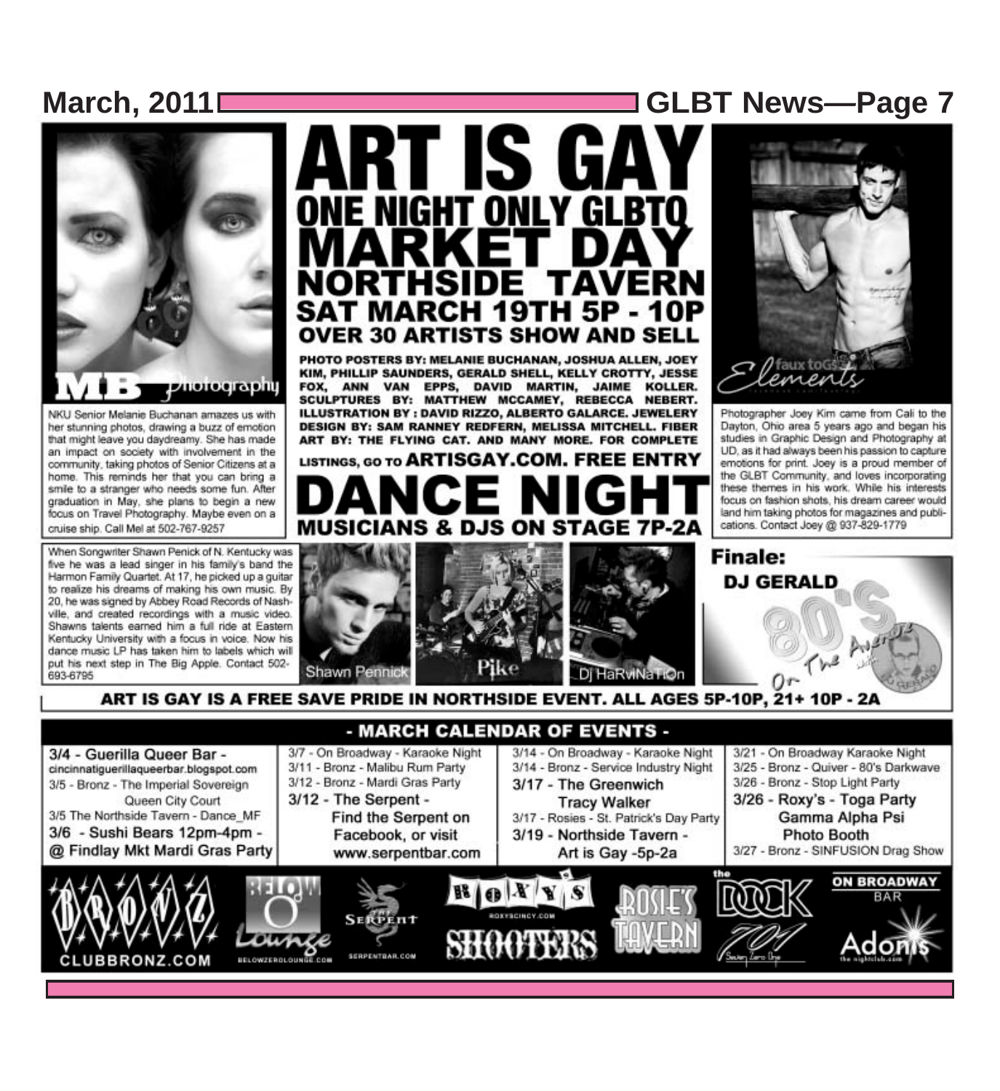# **March, 2011 GLBT News***—***Page 7**



NKU Senior Melanie Buchanan amazes us with her stunning photos, drawing a buzz of emotion that might leave you daydreamy. She has made an impact on society with involvement in the community, taking photos of Senior Citizens at a home. This reminds her that you can bring a smile to a stranger who needs some fun. After graduation in May, she plans to begin a new focus on Travel Photography. Maybe even on a cruise ship. Call Mel at 502-767-9257

When Songwriter Shawn Penick of N. Kentucky was five he was a lead singer in his family's band the Harmon Family Quartet. At 17, he picked up a guitar to realize his dreams of making his own music. By 20, he was signed by Abbey Road Records of Nashville, and created recordings with a music video. Shawns talents earned him a full ride at Eastern Kentucky University with a focus in voice. Now his dance music LP has taken him to labels which will put his next step in The Big Apple. Contact 502-693-6795

# ART IS GAY ONE NIGHT ONLY GLBTQ **SAT MARCH 19TH 5P - 10P OVER 30 ARTISTS SHOW AND SELL**

PHOTO POSTERS BY: MELANIE BUCHANAN, JOSHUA ALLEN, JOEY KIM, PHILLIP SAUNDERS, GERALD SHELL, KELLY CROTTY, JESSE FOX, ANN VAN EPPS, DAVID MARTIN, JAIME KOLLER. SCULPTURES BY: MATTHEW MCCAMEY, REBECCA NEBERT. ILLUSTRATION BY : DAVID RIZZO, ALBERTO GALARCE. JEWELERY DESIGN BY: SAM RANNEY REDFERN, MELISSA MITCHELL. FIBER ART BY: THE FLYING CAT, AND MANY MORE. FOR COMPLETE

LISTINGS, GO TO ARTISGAY.COM. FREE ENTRY **MUSICIANS & ON STAGE 7P-2A** 



Photographer Joey Kim came from Cali to the Dayton, Ohio area 5 years ago and began his studies in Graphic Design and Photography at UD, as it had always been his passion to capture emotions for print. Joey is a proud member of the GLBT Community, and loves incorporating these themes in his work. While his interests focus on fashion shots, his dream career would land him taking photos for magazines and publications. Contact Joey @ 937-829-1779

**Finale:** 

**DJ GERALD** 



ART IS GAY IS A FREE SAVE PRIDE IN NORTHSIDE EVENT. ALL AGES 5P-10P, 21+ 10P - 2A